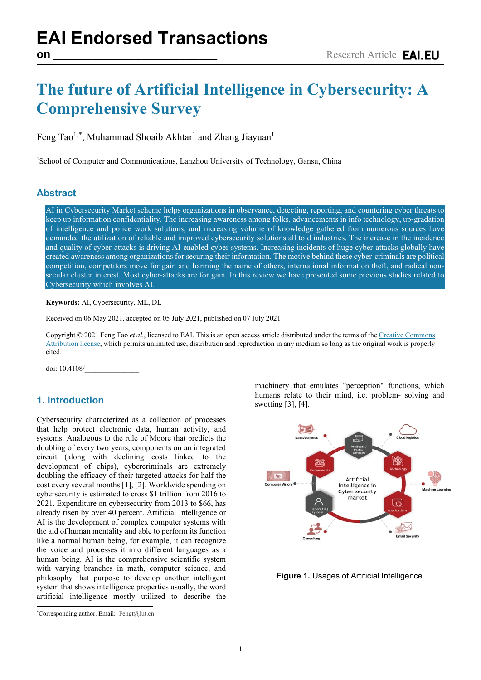# **The future of Artificial Intelligence in Cybersecurity: A Comprehensive Survey**

Feng Tao<sup>1,[\\*](#page-0-0)</sup>, Muhammad Shoaib Akhtar<sup>1</sup> and Zhang Jiayuan<sup>1</sup>

<sup>1</sup>School of Computer and Communications, Lanzhou University of Technology, Gansu, China

### **Abstract**

AI in Cybersecurity Market scheme helps organizations in observance, detecting, reporting, and countering cyber threats to keep up information confidentiality. The increasing awareness among folks, advancements in info technology, up-gradation of intelligence and police work solutions, and increasing volume of knowledge gathered from numerous sources have demanded the utilization of reliable and improved cybersecurity solutions all told industries. The increase in the incidence and quality of cyber-attacks is driving AI-enabled cyber systems. Increasing incidents of huge cyber-attacks globally have created awareness among organizations for securing their information. The motive behind these cyber-criminals are political competition, competitors move for gain and harming the name of others, international information theft, and radical nonsecular cluster interest. Most cyber-attacks are for gain. In this review we have presented some previous studies related to Cybersecurity which involves AI.

**Keywords:** AI, Cybersecurity, ML, DL

Received on 06 May 2021, accepted on 05 July 2021, published on 07 July 2021

Copyright © 2021 Feng Tao *et al.*, licensed to EAI. This is an open access article distributed under the terms of th[e Creative Commons](mailto:https://creativecommons.org/licenses/by/4.0/)  [Attribution license,](mailto:https://creativecommons.org/licenses/by/4.0/) which permits unlimited use, distribution and reproduction in any medium so long as the original work is properly cited.

doi: 10.4108/\_\_\_\_\_\_\_\_\_\_\_\_\_\_\_

# **1. Introduction**

Cybersecurity characterized as a collection of processes that help protect electronic data, human activity, and systems. Analogous to the rule of Moore that predicts the doubling of every two years, components on an integrated circuit (along with declining costs linked to the development of chips), cybercriminals are extremely doubling the efficacy of their targeted attacks for half the cost every several months [1], [2]. Worldwide spending on cybersecurity is estimated to cross \$1 trillion from 2016 to 2021. Expenditure on cybersecurity from 2013 to \$66, has already risen by over 40 percent. Artificial Intelligence or AI is the development of complex computer systems with the aid of human mentality and able to perform its function like a normal human being, for example, it can recognize the voice and processes it into different languages as a human being. AI is the comprehensive scientific system with varying branches in math, computer science, and philosophy that purpose to develop another intelligent system that shows intelligence properties usually, the word artificial intelligence mostly utilized to describe the

<span id="page-0-0"></span>\* Corresponding author. Email: Fengt@lut.cn

**SOEA** 

machinery that emulates "perception" functions, which humans relate to their mind, i.e. problem- solving and swotting [3], [4].



**Figure 1.** Usages of Artificial Intelligence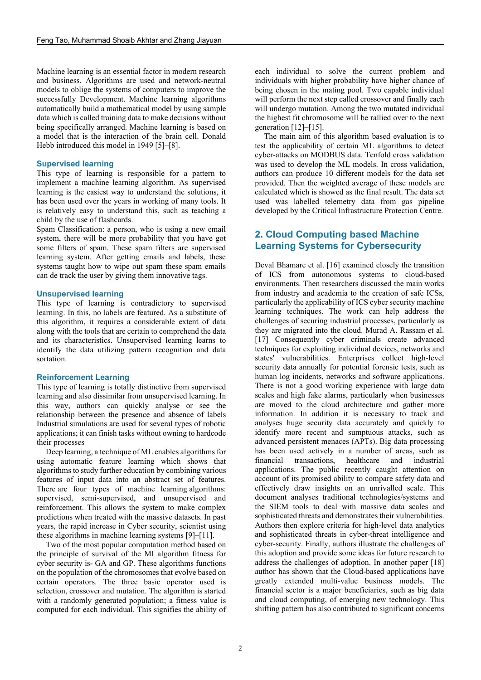Machine learning is an essential factor in modern research and business. Algorithms are used and network-neutral models to oblige the systems of computers to improve the successfully Development. Machine learning algorithms automatically build a mathematical model by using sample data which is called training data to make decisions without being specifically arranged. Machine learning is based on a model that is the interaction of the brain cell. Donald Hebb introduced this model in 1949 [5]–[8].

#### **Supervised learning**

This type of learning is responsible for a pattern to implement a machine learning algorithm. As supervised learning is the easiest way to understand the solutions, it has been used over the years in working of many tools. It is relatively easy to understand this, such as teaching a child by the use of flashcards.

Spam Classification: a person, who is using a new email system, there will be more probability that you have got some filters of spam. These spam filters are supervised learning system. After getting emails and labels, these systems taught how to wipe out spam these spam emails can de track the user by giving them innovative tags.

#### **Unsupervised learning**

This type of learning is contradictory to supervised learning. In this, no labels are featured. As a substitute of this algorithm, it requires a considerable extent of data along with the tools that are certain to comprehend the data and its characteristics. Unsupervised learning learns to identify the data utilizing pattern recognition and data sortation.

#### **Reinforcement Learning**

This type of learning is totally distinctive from supervised learning and also dissimilar from unsupervised learning. In this way, authors can quickly analyse or see the relationship between the presence and absence of labels Industrial simulations are used for several types of robotic applications; it can finish tasks without owning to hardcode their processes

Deep learning, a technique of ML enables algorithms for using automatic feature learning which shows that algorithms to study further education by combining various features of input data into an abstract set of features. There are four types of machine learning algorithms: supervised, semi-supervised, and unsupervised and reinforcement. This allows the system to make complex predictions when treated with the massive datasets. In past years, the rapid increase in Cyber security, scientist using these algorithms in machine learning systems [9]–[11].

Two of the most popular computation method based on the principle of survival of the MI algorithm fitness for cyber security is- GA and GP. These algorithms functions on the population of the chromosomes that evolve based on certain operators. The three basic operator used is selection, crossover and mutation. The algorithm is started with a randomly generated population; a fitness value is computed for each individual. This signifies the ability of each individual to solve the current problem and individuals with higher probability have higher chance of being chosen in the mating pool. Two capable individual will perform the next step called crossover and finally each will undergo mutation. Among the two mutated individual the highest fit chromosome will be rallied over to the next generation [12]–[15].

The main aim of this algorithm based evaluation is to test the applicability of certain ML algorithms to detect cyber-attacks on MODBUS data. Tenfold cross validation was used to develop the ML models. In cross validation, authors can produce 10 different models for the data set provided. Then the weighted average of these models are calculated which is showed as the final result. The data set used was labelled telemetry data from gas pipeline developed by the Critical Infrastructure Protection Centre.

#### **2. Cloud Computing based Machine Learning Systems for Cybersecurity**

Deval Bhamare et al. [16] examined closely the transition of ICS from autonomous systems to cloud-based environments. Then researchers discussed the main works from industry and academia to the creation of safe ICSs, particularly the applicability of ICS cyber security machine learning techniques. The work can help address the challenges of securing industrial processes, particularly as they are migrated into the cloud. Murad A. Rassam et al. [17] Consequently cyber criminals create advanced techniques for exploiting individual devices, networks and states' vulnerabilities. Enterprises collect high-level security data annually for potential forensic tests, such as human log incidents, networks and software applications. There is not a good working experience with large data scales and high fake alarms, particularly when businesses are moved to the cloud architecture and gather more information. In addition it is necessary to track and analyses huge security data accurately and quickly to identify more recent and sumptuous attacks, such as advanced persistent menaces (APTs). Big data processing has been used actively in a number of areas, such as financial transactions, healthcare and industrial applications. The public recently caught attention on account of its promised ability to compare safety data and effectively draw insights on an unrivalled scale. This document analyses traditional technologies/systems and the SIEM tools to deal with massive data scales and sophisticated threats and demonstrates their vulnerabilities. Authors then explore criteria for high-level data analytics and sophisticated threats in cyber-threat intelligence and cyber-security. Finally, authors illustrate the challenges of this adoption and provide some ideas for future research to address the challenges of adoption. In another paper [18] author has shown that the Cloud-based applications have greatly extended multi-value business models. The financial sector is a major beneficiaries, such as big data and cloud computing, of emerging new technology. This shifting pattern has also contributed to significant concerns

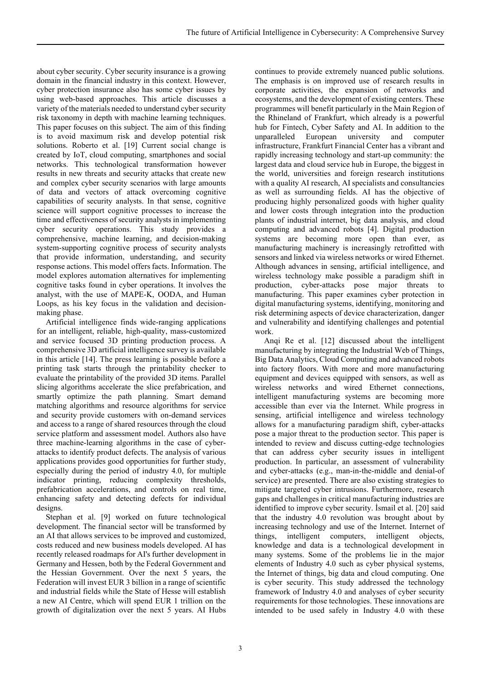about cyber security. Cyber security insurance is a growing domain in the financial industry in this context. However, cyber protection insurance also has some cyber issues by using web-based approaches. This article discusses a variety of the materials needed to understand cyber security risk taxonomy in depth with machine learning techniques. This paper focuses on this subject. The aim of this finding is to avoid maximum risk and develop potential risk solutions. Roberto et al. [19] Current social change is created by IoT, cloud computing, smartphones and social networks. This technological transformation however results in new threats and security attacks that create new and complex cyber security scenarios with large amounts of data and vectors of attack overcoming cognitive capabilities of security analysts. In that sense, cognitive science will support cognitive processes to increase the time and effectiveness of security analysts in implementing cyber security operations. This study provides a comprehensive, machine learning, and decision-making system-supporting cognitive process of security analysts that provide information, understanding, and security response actions. This model offers facts. Information. The model explores automation alternatives for implementing cognitive tasks found in cyber operations. It involves the analyst, with the use of MAPE-K, OODA, and Human Loops, as his key focus in the validation and decisionmaking phase.

Artificial intelligence finds wide-ranging applications for an intelligent, reliable, high-quality, mass-customized and service focused 3D printing production process. A comprehensive 3D artificial intelligence survey is available in this article [14]. The press learning is possible before a printing task starts through the printability checker to evaluate the printability of the provided 3D items. Parallel slicing algorithms accelerate the slice prefabrication, and smartly optimize the path planning. Smart demand matching algorithms and resource algorithms for service and security provide customers with on-demand services and access to a range of shared resources through the cloud service platform and assessment model. Authors also have three machine-learning algorithms in the case of cyberattacks to identify product defects. The analysis of various applications provides good opportunities for further study, especially during the period of industry 4.0, for multiple indicator printing, reducing complexity thresholds, prefabrication accelerations, and controls on real time, enhancing safety and detecting defects for individual designs.

Stephan et al. [9] worked on future technological development. The financial sector will be transformed by an AI that allows services to be improved and customized, costs reduced and new business models developed. AI has recently released roadmaps for AI's further development in Germany and Hessen, both by the Federal Government and the Hessian Government. Over the next 5 years, the Federation will invest EUR 3 billion in a range of scientific and industrial fields while the State of Hesse will establish a new AI Centre, which will spend EUR 1 trillion on the growth of digitalization over the next 5 years. AI Hubs

continues to provide extremely nuanced public solutions. The emphasis is on improved use of research results in corporate activities, the expansion of networks and ecosystems, and the development of existing centers. These programmes will benefit particularly in the Main Region of the Rhineland of Frankfurt, which already is a powerful hub for Fintech, Cyber Safety and AI. In addition to the unparalleled European university and computer infrastructure, Frankfurt Financial Center has a vibrant and rapidly increasing technology and start-up community: the largest data and cloud service hub in Europe, the biggest in the world, universities and foreign research institutions with a quality AI research, AI specialists and consultancies as well as surrounding fields. AI has the objective of producing highly personalized goods with higher quality and lower costs through integration into the production plants of industrial internet, big data analysis, and cloud computing and advanced robots [4]. Digital production systems are becoming more open than ever, as manufacturing machinery is increasingly retrofitted with sensors and linked via wireless networks or wired Ethernet. Although advances in sensing, artificial intelligence, and wireless technology make possible a paradigm shift in production, cyber-attacks pose major threats to manufacturing. This paper examines cyber protection in digital manufacturing systems, identifying, monitoring and risk determining aspects of device characterization, danger and vulnerability and identifying challenges and potential work.

Anqi Re et al. [12] discussed about the intelligent manufacturing by integrating the Industrial Web of Things, Big Data Analytics, Cloud Computing and advanced robots into factory floors. With more and more manufacturing equipment and devices equipped with sensors, as well as wireless networks and wired Ethernet connections, intelligent manufacturing systems are becoming more accessible than ever via the Internet. While progress in sensing, artificial intelligence and wireless technology allows for a manufacturing paradigm shift, cyber-attacks pose a major threat to the production sector. This paper is intended to review and discuss cutting-edge technologies that can address cyber security issues in intelligent production. In particular, an assessment of vulnerability and cyber-attacks (e.g., man-in-the-middle and denial-of service) are presented. There are also existing strategies to mitigate targeted cyber intrusions. Furthermore, research gaps and challenges in critical manufacturing industries are identified to improve cyber security. İsmail et al. [20] said that the industry 4.0 revolution was brought about by increasing technology and use of the Internet. Internet of things, intelligent computers, intelligent objects, knowledge and data is a technological development in many systems. Some of the problems lie in the major elements of Industry 4.0 such as cyber physical systems, the Internet of things, big data and cloud computing. One is cyber security. This study addressed the technology framework of Industry 4.0 and analyses of cyber security requirements for those technologies. These innovations are intended to be used safely in Industry 4.0 with these

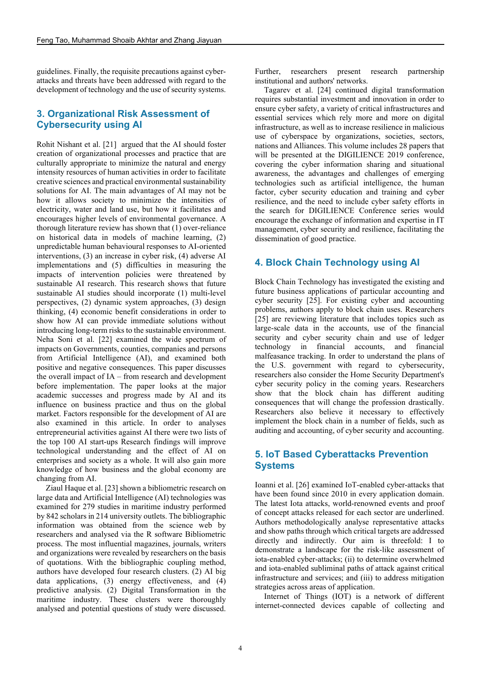guidelines. Finally, the requisite precautions against cyberattacks and threats have been addressed with regard to the development of technology and the use of security systems.

## **3. Organizational Risk Assessment of Cybersecurity using AI**

Rohit Nishant et al. [21] argued that the AI should foster creation of organizational processes and practice that are culturally appropriate to minimize the natural and energy intensity resources of human activities in order to facilitate creative sciences and practical environmental sustainability solutions for AI. The main advantages of AI may not be how it allows society to minimize the intensities of electricity, water and land use, but how it facilitates and encourages higher levels of environmental governance. A thorough literature review has shown that (1) over-reliance on historical data in models of machine learning, (2) unpredictable human behavioural responses to AI-oriented interventions, (3) an increase in cyber risk, (4) adverse AI implementations and (5) difficulties in measuring the impacts of intervention policies were threatened by sustainable AI research. This research shows that future sustainable AI studies should incorporate (1) multi-level perspectives, (2) dynamic system approaches, (3) design thinking, (4) economic benefit considerations in order to show how AI can provide immediate solutions without introducing long-term risks to the sustainable environment. Neha Soni et al. [22] examined the wide spectrum of impacts on Governments, counties, companies and persons from Artificial Intelligence (AI), and examined both positive and negative consequences. This paper discusses the overall impact of IA – from research and development before implementation. The paper looks at the major academic successes and progress made by AI and its influence on business practice and thus on the global market. Factors responsible for the development of AI are also examined in this article. In order to analyses entrepreneurial activities against AI there were two lists of the top 100 AI start-ups Research findings will improve technological understanding and the effect of AI on enterprises and society as a whole. It will also gain more knowledge of how business and the global economy are changing from AI.

Ziaul Haque et al. [23] shown a bibliometric research on large data and Artificial Intelligence (AI) technologies was examined for 279 studies in maritime industry performed by 842 scholars in 214 university outlets. The bibliographic information was obtained from the science web by researchers and analysed via the R software Bibliometric process. The most influential magazines, journals, writers and organizations were revealed by researchers on the basis of quotations. With the bibliographic coupling method, authors have developed four research clusters. (2) AI big data applications, (3) energy effectiveness, and (4) predictive analysis. (2) Digital Transformation in the maritime industry. These clusters were thoroughly analysed and potential questions of study were discussed. Further, researchers present research partnership institutional and authors' networks.

Tagarev et al. [24] continued digital transformation requires substantial investment and innovation in order to ensure cyber safety, a variety of critical infrastructures and essential services which rely more and more on digital infrastructure, as well as to increase resilience in malicious use of cyberspace by organizations, societies, sectors, nations and Alliances. This volume includes 28 papers that will be presented at the DIGILIENCE 2019 conference, covering the cyber information sharing and situational awareness, the advantages and challenges of emerging technologies such as artificial intelligence, the human factor, cyber security education and training and cyber resilience, and the need to include cyber safety efforts in the search for DIGILIENCE Conference series would encourage the exchange of information and expertise in IT management, cyber security and resilience, facilitating the dissemination of good practice.

#### **4. Block Chain Technology using AI**

Block Chain Technology has investigated the existing and future business applications of particular accounting and cyber security [25]. For existing cyber and accounting problems, authors apply to block chain uses. Researchers [25] are reviewing literature that includes topics such as large-scale data in the accounts, use of the financial security and cyber security chain and use of ledger technology in financial accounts, and financial malfeasance tracking. In order to understand the plans of the U.S. government with regard to cybersecurity, researchers also consider the Home Security Department's cyber security policy in the coming years. Researchers show that the block chain has different auditing consequences that will change the profession drastically. Researchers also believe it necessary to effectively implement the block chain in a number of fields, such as auditing and accounting, of cyber security and accounting.

#### **5. IoT Based Cyberattacks Prevention Systems**

Ioanni et al. [26] examined IoT-enabled cyber-attacks that have been found since 2010 in every application domain. The latest Iota attacks, world-renowned events and proof of concept attacks released for each sector are underlined. Authors methodologically analyse representative attacks and show paths through which critical targets are addressed directly and indirectly. Our aim is threefold: I to demonstrate a landscape for the risk-like assessment of iota-enabled cyber-attacks; (ii) to determine overwhelmed and iota-enabled subliminal paths of attack against critical infrastructure and services; and (iii) to address mitigation strategies across areas of application.

Internet of Things (IOT) is a network of different internet-connected devices capable of collecting and

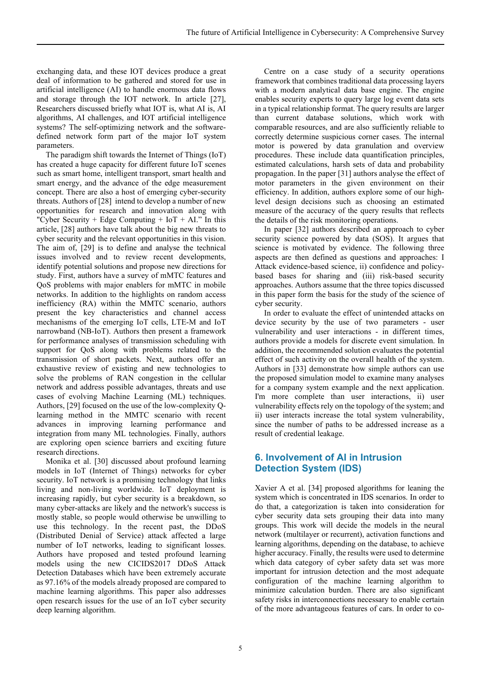exchanging data, and these IOT devices produce a great deal of information to be gathered and stored for use in artificial intelligence (AI) to handle enormous data flows and storage through the IOT network. In article [27], Researchers discussed briefly what IOT is, what AI is, AI algorithms, AI challenges, and IOT artificial intelligence systems? The self-optimizing network and the softwaredefined network form part of the major IoT system parameters.

The paradigm shift towards the Internet of Things (IoT) has created a huge capacity for different future IoT scenes such as smart home, intelligent transport, smart health and smart energy, and the advance of the edge measurement concept. There are also a host of emerging cyber-security threats. Authors of [28] intend to develop a number of new opportunities for research and innovation along with "Cyber Security + Edge Computing +  $IoT + AI$ ." In this article, [28] authors have talk about the big new threats to cyber security and the relevant opportunities in this vision. The aim of, [29] is to define and analyse the technical issues involved and to review recent developments, identify potential solutions and propose new directions for study. First, authors have a survey of mMTC features and QoS problems with major enablers for mMTC in mobile networks. In addition to the highlights on random access inefficiency (RA) within the MMTC scenario, authors present the key characteristics and channel access mechanisms of the emerging IoT cells, LTE-M and IoT narrowband (NB-IoT). Authors then present a framework for performance analyses of transmission scheduling with support for QoS along with problems related to the transmission of short packets. Next, authors offer an exhaustive review of existing and new technologies to solve the problems of RAN congestion in the cellular network and address possible advantages, threats and use cases of evolving Machine Learning (ML) techniques. Authors, [29] focused on the use of the low-complexity Qlearning method in the MMTC scenario with recent advances in improving learning performance and integration from many ML technologies. Finally, authors are exploring open science barriers and exciting future research directions.

Monika et al. [30] discussed about profound learning models in IoT (Internet of Things) networks for cyber security. IoT network is a promising technology that links living and non-living worldwide. IoT deployment is increasing rapidly, but cyber security is a breakdown, so many cyber-attacks are likely and the network's success is mostly stable, so people would otherwise be unwilling to use this technology. In the recent past, the DDoS (Distributed Denial of Service) attack affected a large number of IoT networks, leading to significant losses. Authors have proposed and tested profound learning models using the new CICIDS2017 DDoS Attack Detection Databases which have been extremely accurate as 97.16% of the models already proposed are compared to machine learning algorithms. This paper also addresses open research issues for the use of an IoT cyber security deep learning algorithm.

Centre on a case study of a security operations framework that combines traditional data processing layers with a modern analytical data base engine. The engine enables security experts to query large log event data sets in a typical relationship format. The query results are larger than current database solutions, which work with comparable resources, and are also sufficiently reliable to correctly determine suspicious corner cases. The internal motor is powered by data granulation and overview procedures. These include data quantification principles, estimated calculations, harsh sets of data and probability propagation. In the paper [31] authors analyse the effect of motor parameters in the given environment on their efficiency. In addition, authors explore some of our highlevel design decisions such as choosing an estimated measure of the accuracy of the query results that reflects the details of the risk monitoring operations.

In paper [32] authors described an approach to cyber security science powered by data (SOS). It argues that science is motivated by evidence. The following three aspects are then defined as questions and approaches: I Attack evidence-based science, ii) confidence and policybased bases for sharing and (iii) risk-based security approaches. Authors assume that the three topics discussed in this paper form the basis for the study of the science of cyber security.

In order to evaluate the effect of unintended attacks on device security by the use of two parameters - user vulnerability and user interactions - in different times, authors provide a models for discrete event simulation. In addition, the recommended solution evaluates the potential effect of such activity on the overall health of the system. Authors in [33] demonstrate how simple authors can use the proposed simulation model to examine many analyses for a company system example and the next application. I'm more complete than user interactions, ii) user vulnerability effects rely on the topology of the system; and ii) user interacts increase the total system vulnerability, since the number of paths to be addressed increase as a result of credential leakage.

# **6. Involvement of AI in Intrusion Detection System (IDS)**

Xavier A et al. [34] proposed algorithms for leaning the system which is concentrated in IDS scenarios. In order to do that, a categorization is taken into consideration for cyber security data sets grouping their data into many groups. This work will decide the models in the neural network (multilayer or recurrent), activation functions and learning algorithms, depending on the database, to achieve higher accuracy. Finally, the results were used to determine which data category of cyber safety data set was more important for intrusion detection and the most adequate configuration of the machine learning algorithm to minimize calculation burden. There are also significant safety risks in interconnections necessary to enable certain of the more advantageous features of cars. In order to co-

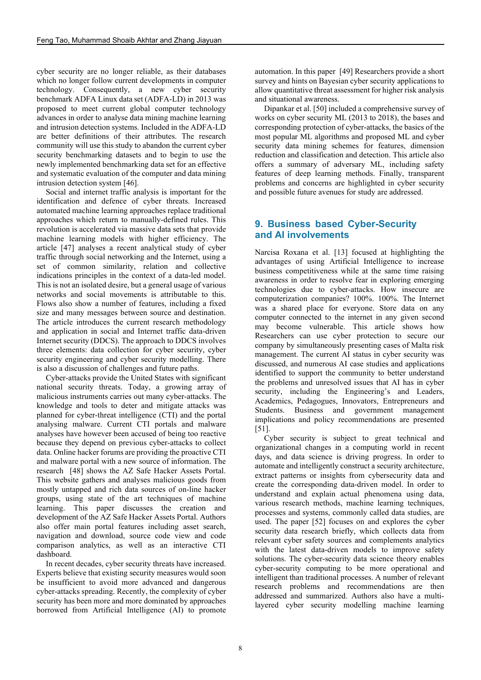cyber security are no longer reliable, as their databases which no longer follow current developments in computer technology. Consequently, a new cyber security benchmark ADFA Linux data set (ADFA-LD) in 2013 was proposed to meet current global computer technology advances in order to analyse data mining machine learning and intrusion detection systems. Included in the ADFA-LD are better definitions of their attributes. The research community will use this study to abandon the current cyber security benchmarking datasets and to begin to use the newly implemented benchmarking data set for an effective and systematic evaluation of the computer and data mining intrusion detection system [46].

Social and internet traffic analysis is important for the identification and defence of cyber threats. Increased automated machine learning approaches replace traditional approaches which return to manually-defined rules. This revolution is accelerated via massive data sets that provide machine learning models with higher efficiency. The article [47] analyses a recent analytical study of cyber traffic through social networking and the Internet, using a set of common similarity, relation and collective indications principles in the context of a data-led model. This is not an isolated desire, but a general usage of various networks and social movements is attributable to this. Flows also show a number of features, including a fixed size and many messages between source and destination. The article introduces the current research methodology and application in social and Internet traffic data-driven Internet security (DDCS). The approach to DDCS involves three elements: data collection for cyber security, cyber security engineering and cyber security modelling. There is also a discussion of challenges and future paths.

Cyber-attacks provide the United States with significant national security threats. Today, a growing array of malicious instruments carries out many cyber-attacks. The knowledge and tools to deter and mitigate attacks was planned for cyber-threat intelligence (CTI) and the portal analysing malware. Current CTI portals and malware analyses have however been accused of being too reactive because they depend on previous cyber-attacks to collect data. Online hacker forums are providing the proactive CTI and malware portal with a new source of information. The research [48] shows the AZ Safe Hacker Assets Portal. This website gathers and analyses malicious goods from mostly untapped and rich data sources of on-line hacker groups, using state of the art techniques of machine learning. This paper discusses the creation and development of the AZ Safe Hacker Assets Portal. Authors also offer main portal features including asset search, navigation and download, source code view and code comparison analytics, as well as an interactive CTI dashboard.

In recent decades, cyber security threats have increased. Experts believe that existing security measures would soon be insufficient to avoid more advanced and dangerous cyber-attacks spreading. Recently, the complexity of cyber security has been more and more dominated by approaches borrowed from Artificial Intelligence (AI) to promote

automation. In this paper [49] Researchers provide a short survey and hints on Bayesian cyber security applications to allow quantitative threat assessment for higher risk analysis and situational awareness.

Dipankar et al. [50] included a comprehensive survey of works on cyber security ML (2013 to 2018), the bases and corresponding protection of cyber-attacks, the basics of the most popular ML algorithms and proposed ML and cyber security data mining schemes for features, dimension reduction and classification and detection. This article also offers a summary of adversary ML, including safety features of deep learning methods. Finally, transparent problems and concerns are highlighted in cyber security and possible future avenues for study are addressed.

# **9. Business based Cyber-Security and AI involvements**

Narcisa Roxana et al. [13] focused at highlighting the advantages of using Artificial Intelligence to increase business competitiveness while at the same time raising awareness in order to resolve fear in exploring emerging technologies due to cyber-attacks. How insecure are computerization companies? 100%. 100%. The Internet was a shared place for everyone. Store data on any computer connected to the internet in any given second may become vulnerable. This article shows how Researchers can use cyber protection to secure our company by simultaneously presenting cases of Malta risk management. The current AI status in cyber security was discussed, and numerous AI case studies and applications identified to support the community to better understand the problems and unresolved issues that AI has in cyber security, including the Engineering's and Leaders, Academics, Pedagogues, Innovators, Entrepreneurs and Students. Business and government management implications and policy recommendations are presented [51].

Cyber security is subject to great technical and organizational changes in a computing world in recent days, and data science is driving progress. In order to automate and intelligently construct a security architecture, extract patterns or insights from cybersecurity data and create the corresponding data-driven model. In order to understand and explain actual phenomena using data, various research methods, machine learning techniques, processes and systems, commonly called data studies, are used. The paper [52] focuses on and explores the cyber security data research briefly, which collects data from relevant cyber safety sources and complements analytics with the latest data-driven models to improve safety solutions. The cyber-security data science theory enables cyber-security computing to be more operational and intelligent than traditional processes. A number of relevant research problems and recommendations are then addressed and summarized. Authors also have a multilayered cyber security modelling machine learning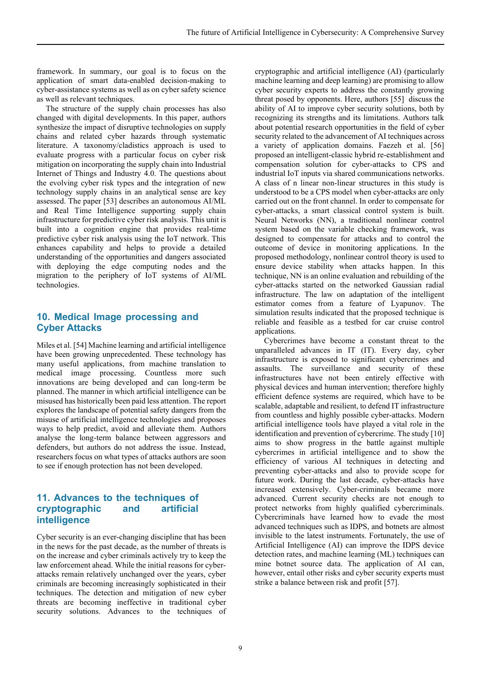framework. In summary, our goal is to focus on the application of smart data-enabled decision-making to cyber-assistance systems as well as on cyber safety science as well as relevant techniques.

The structure of the supply chain processes has also changed with digital developments. In this paper, authors synthesize the impact of disruptive technologies on supply chains and related cyber hazards through systematic literature. A taxonomy/cladistics approach is used to evaluate progress with a particular focus on cyber risk mitigation on incorporating the supply chain into Industrial Internet of Things and Industry 4.0. The questions about the evolving cyber risk types and the integration of new technology supply chains in an analytical sense are key assessed. The paper [53] describes an autonomous AI/ML and Real Time Intelligence supporting supply chain infrastructure for predictive cyber risk analysis. This unit is built into a cognition engine that provides real-time predictive cyber risk analysis using the IoT network. This enhances capability and helps to provide a detailed understanding of the opportunities and dangers associated with deploying the edge computing nodes and the migration to the periphery of IoT systems of AI/ML technologies.

## **10. Medical Image processing and Cyber Attacks**

Miles et al. [54] Machine learning and artificial intelligence have been growing unprecedented. These technology has many useful applications, from machine translation to medical image processing. Countless more such innovations are being developed and can long-term be planned. The manner in which artificial intelligence can be misused has historically been paid less attention. The report explores the landscape of potential safety dangers from the misuse of artificial intelligence technologies and proposes ways to help predict, avoid and alleviate them. Authors analyse the long-term balance between aggressors and defenders, but authors do not address the issue. Instead, researchers focus on what types of attacks authors are soon to see if enough protection has not been developed.

## **11. Advances to the techniques of cryptographic and artificial intelligence**

Cyber security is an ever-changing discipline that has been in the news for the past decade, as the number of threats is on the increase and cyber criminals actively try to keep the law enforcement ahead. While the initial reasons for cyberattacks remain relatively unchanged over the years, cyber criminals are becoming increasingly sophisticated in their techniques. The detection and mitigation of new cyber threats are becoming ineffective in traditional cyber security solutions. Advances to the techniques of

cryptographic and artificial intelligence (AI) (particularly machine learning and deep learning) are promising to allow cyber security experts to address the constantly growing threat posed by opponents. Here, authors [55] discuss the ability of AI to improve cyber security solutions, both by recognizing its strengths and its limitations. Authors talk about potential research opportunities in the field of cyber security related to the advancement of AI techniques across a variety of application domains. Faezeh et al. [56] proposed an intelligent-classic hybrid re-establishment and compensation solution for cyber-attacks to CPS and industrial IoT inputs via shared communications networks. A class of n linear non-linear structures in this study is understood to be a CPS model when cyber-attacks are only carried out on the front channel. In order to compensate for cyber-attacks, a smart classical control system is built. Neural Networks (NN), a traditional nonlinear control system based on the variable checking framework, was designed to compensate for attacks and to control the outcome of device in monitoring applications. In the proposed methodology, nonlinear control theory is used to ensure device stability when attacks happen. In this technique, NN is an online evaluation and rebuilding of the cyber-attacks started on the networked Gaussian radial infrastructure. The law on adaptation of the intelligent estimator comes from a feature of Lyapunov. The simulation results indicated that the proposed technique is reliable and feasible as a testbed for car cruise control applications.

Cybercrimes have become a constant threat to the unparalleled advances in IT (IT). Every day, cyber infrastructure is exposed to significant cybercrimes and assaults. The surveillance and security of these infrastructures have not been entirely effective with physical devices and human intervention; therefore highly efficient defence systems are required, which have to be scalable, adaptable and resilient, to defend IT infrastructure from countless and highly possible cyber-attacks. Modern artificial intelligence tools have played a vital role in the identification and prevention of cybercrime. The study [10] aims to show progress in the battle against multiple cybercrimes in artificial intelligence and to show the efficiency of various AI techniques in detecting and preventing cyber-attacks and also to provide scope for future work. During the last decade, cyber-attacks have increased extensively. Cyber-criminals became more advanced. Current security checks are not enough to protect networks from highly qualified cybercriminals. Cybercriminals have learned how to evade the most advanced techniques such as IDPS, and botnets are almost invisible to the latest instruments. Fortunately, the use of Artificial Intelligence (AI) can improve the IDPS device detection rates, and machine learning (ML) techniques can mine botnet source data. The application of AI can, however, entail other risks and cyber security experts must strike a balance between risk and profit [57].

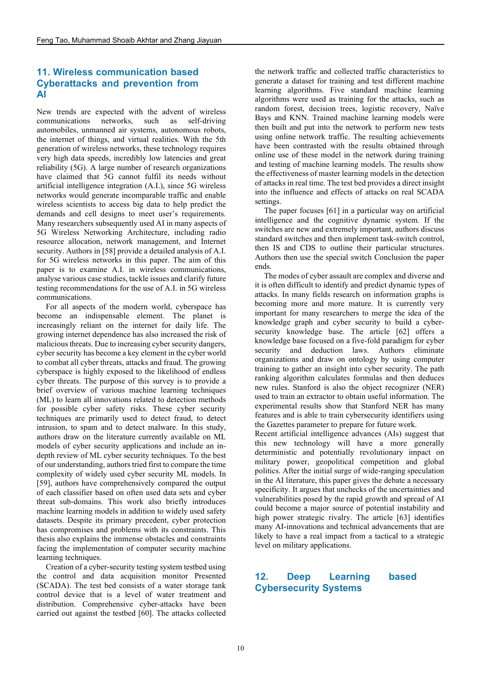#### **11. Wireless communication based Cyberattacks and prevention from AI**

New trends are expected with the advent of wireless communications networks, such as self-driving automobiles, unmanned air systems, autonomous robots, the internet of things, and virtual realities. With the 5th generation of wireless networks, these technology requires very high data speeds, incredibly low latencies and great reliability (5G). A large number of research organizations have claimed that 5G cannot fulfil its needs without artificial intelligence integration (A.I.), since 5G wireless networks would generate incomparable traffic and enable wireless scientists to access big data to help predict the demands and cell designs to meet user's requirements. Many researchers subsequently used AI in many aspects of 5G Wireless Networking Architecture, including radio resource allocation, network management, and Internet security. Authors in [58] provide a detailed analysis of A.I. for 5G wireless networks in this paper. The aim of this paper is to examine A.I. in wireless communications, analyse various case studies, tackle issues and clarify future testing recommendations for the use of A.I. in 5G wireless communications.

For all aspects of the modern world, cyberspace has become an indispensable element. The planet is increasingly reliant on the internet for daily life. The growing internet dependence has also increased the risk of malicious threats. Due to increasing cyber security dangers, cyber security has become a key element in the cyber world to combat all cyber threats, attacks and fraud. The growing cyberspace is highly exposed to the likelihood of endless cyber threats. The purpose of this survey is to provide a brief overview of various machine learning techniques (ML) to learn all innovations related to detection methods for possible cyber safety risks. These cyber security techniques are primarily used to detect fraud, to detect intrusion, to spam and to detect malware. In this study, authors draw on the literature currently available on ML models of cyber security applications and include an indepth review of ML cyber security techniques. To the best of our understanding, authors tried first to compare the time complexity of widely used cyber security ML models. In [59], authors have comprehensively compared the output of each classifier based on often used data sets and cyber threat sub-domains. This work also briefly introduces machine learning models in addition to widely used safety datasets. Despite its primary precedent, cyber protection has compromises and problems with its constraints. This thesis also explains the immense obstacles and constraints facing the implementation of computer security machine learning techniques.

Creation of a cyber-security testing system testbed using the control and data acquisition monitor Presented (SCADA). The test bed consists of a water storage tank control device that is a level of water treatment and distribution. Comprehensive cyber-attacks have been carried out against the testbed [60]. The attacks collected the network traffic and collected traffic characteristics to generate a dataset for training and test different machine learning algorithms. Five standard machine learning algorithms were used as training for the attacks, such as random forest, decision trees, logistic recovery, Naïve Bays and KNN. Trained machine learning models were then built and put into the network to perform new tests using online network traffic. The resulting achievements have been contrasted with the results obtained through online use of these model in the network during training and testing of machine learning models. The results show the effectiveness of master learning models in the detection of attacks in real time. The test bed provides a direct insight into the influence and effects of attacks on real SCADA settings.

The paper focuses [61] in a particular way on artificial intelligence and the cognitive dynamic system. If the switches are new and extremely important, authors discuss standard switches and then implement task-switch control, then IS and CDS to outline their particular structures. Authors then use the special switch Conclusion the paper ends.

The modes of cyber assault are complex and diverse and it is often difficult to identify and predict dynamic types of attacks. In many fields research on information graphs is becoming more and more mature. It is currently very important for many researchers to merge the idea of the knowledge graph and cyber security to build a cybersecurity knowledge base. The article [62] offers a knowledge base focused on a five-fold paradigm for cyber security and deduction laws. Authors eliminate organizations and draw on ontology by using computer training to gather an insight into cyber security. The path ranking algorithm calculates formulas and then deduces new rules. Stanford is also the object recognizer (NER) used to train an extractor to obtain useful information. The experimental results show that Stanford NER has many features and is able to train cybersecurity identifiers using the Gazettes parameter to prepare for future work.

Recent artificial intelligence advances (AIs) suggest that this new technology will have a more generally deterministic and potentially revolutionary impact on military power, geopolitical competition and global politics. After the initial surge of wide-ranging speculation in the AI literature, this paper gives the debate a necessary specificity. It argues that unchecks of the uncertainties and vulnerabilities posed by the rapid growth and spread of AI could become a major source of potential instability and high power strategic rivalry. The article [63] identifies many AI-innovations and technical advancements that are likely to have a real impact from a tactical to a strategic level on military applications.

# **12. Deep Learning based Cybersecurity Systems**

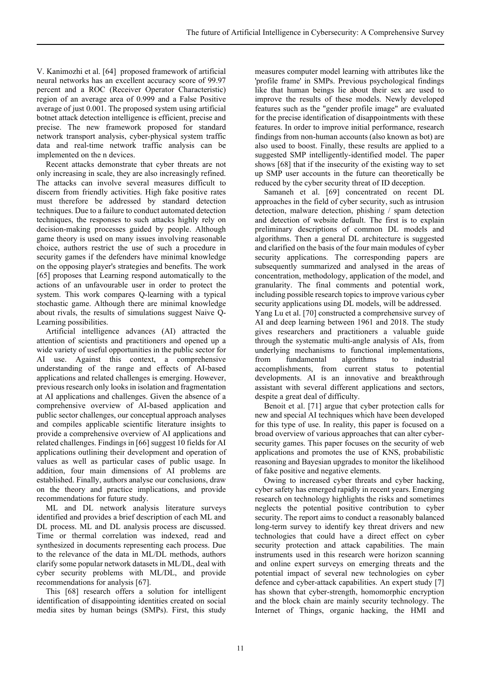V. Kanimozhi et al. [64] proposed framework of artificial neural networks has an excellent accuracy score of 99.97 percent and a ROC (Receiver Operator Characteristic) region of an average area of 0.999 and a False Positive average of just 0.001. The proposed system using artificial botnet attack detection intelligence is efficient, precise and precise. The new framework proposed for standard network transport analysis, cyber-physical system traffic data and real-time network traffic analysis can be implemented on the n devices.

Recent attacks demonstrate that cyber threats are not only increasing in scale, they are also increasingly refined. The attacks can involve several measures difficult to discern from friendly activities. High fake positive rates must therefore be addressed by standard detection techniques. Due to a failure to conduct automated detection techniques, the responses to such attacks highly rely on decision-making processes guided by people. Although game theory is used on many issues involving reasonable choice, authors restrict the use of such a procedure in security games if the defenders have minimal knowledge on the opposing player's strategies and benefits. The work [65] proposes that Learning respond automatically to the actions of an unfavourable user in order to protect the system. This work compares Q-learning with a typical stochastic game. Although there are minimal knowledge about rivals, the results of simulations suggest Naive Q-Learning possibilities.

Artificial intelligence advances (AI) attracted the attention of scientists and practitioners and opened up a wide variety of useful opportunities in the public sector for AI use. Against this context, a comprehensive understanding of the range and effects of AI-based applications and related challenges is emerging. However, previous research only looks in isolation and fragmentation at AI applications and challenges. Given the absence of a comprehensive overview of AI-based application and public sector challenges, our conceptual approach analyses and compiles applicable scientific literature insights to provide a comprehensive overview of AI applications and related challenges. Findings in [66] suggest 10 fields for AI applications outlining their development and operation of values as well as particular cases of public usage. In addition, four main dimensions of AI problems are established. Finally, authors analyse our conclusions, draw on the theory and practice implications, and provide recommendations for future study.

ML and DL network analysis literature surveys identified and provides a brief description of each ML and DL process. ML and DL analysis process are discussed. Time or thermal correlation was indexed, read and synthesized in documents representing each process. Due to the relevance of the data in ML/DL methods, authors clarify some popular network datasets in ML/DL, deal with cyber security problems with ML/DL, and provide recommendations for analysis [67].

This [68] research offers a solution for intelligent identification of disappointing identities created on social media sites by human beings (SMPs). First, this study measures computer model learning with attributes like the 'profile frame' in SMPs. Previous psychological findings like that human beings lie about their sex are used to improve the results of these models. Newly developed features such as the "gender profile image" are evaluated for the precise identification of disappointments with these features. In order to improve initial performance, research findings from non-human accounts (also known as bot) are also used to boost. Finally, these results are applied to a suggested SMP intelligently-identified model. The paper shows [68] that if the insecurity of the existing way to set up SMP user accounts in the future can theoretically be reduced by the cyber security threat of ID deception.

Samaneh et al. [69] concentrated on recent DL approaches in the field of cyber security, such as intrusion detection, malware detection, phishing / spam detection and detection of website default. The first is to explain preliminary descriptions of common DL models and algorithms. Then a general DL architecture is suggested and clarified on the basis of the four main modules of cyber security applications. The corresponding papers are subsequently summarized and analysed in the areas of concentration, methodology, application of the model, and granularity. The final comments and potential work, including possible research topics to improve various cyber security applications using DL models, will be addressed. Yang Lu et al. [70] constructed a comprehensive survey of AI and deep learning between 1961 and 2018. The study gives researchers and practitioners a valuable guide through the systematic multi-angle analysis of AIs, from underlying mechanisms to functional implementations, from fundamental algorithms to industrial accomplishments, from current status to potential developments. AI is an innovative and breakthrough assistant with several different applications and sectors, despite a great deal of difficulty.

Benoit et al. [71] argue that cyber protection calls for new and special AI techniques which have been developed for this type of use. In reality, this paper is focused on a broad overview of various approaches that can alter cybersecurity games. This paper focuses on the security of web applications and promotes the use of KNS, probabilistic reasoning and Bayesian upgrades to monitor the likelihood of fake positive and negative elements.

Owing to increased cyber threats and cyber hacking, cyber safety has emerged rapidly in recent years. Emerging research on technology highlights the risks and sometimes neglects the potential positive contribution to cyber security. The report aims to conduct a reasonably balanced long-term survey to identify key threat drivers and new technologies that could have a direct effect on cyber security protection and attack capabilities. The main instruments used in this research were horizon scanning and online expert surveys on emerging threats and the potential impact of several new technologies on cyber defence and cyber-attack capabilities. An expert study [7] has shown that cyber-strength, homomorphic encryption and the block chain are mainly security technology. The Internet of Things, organic hacking, the HMI and

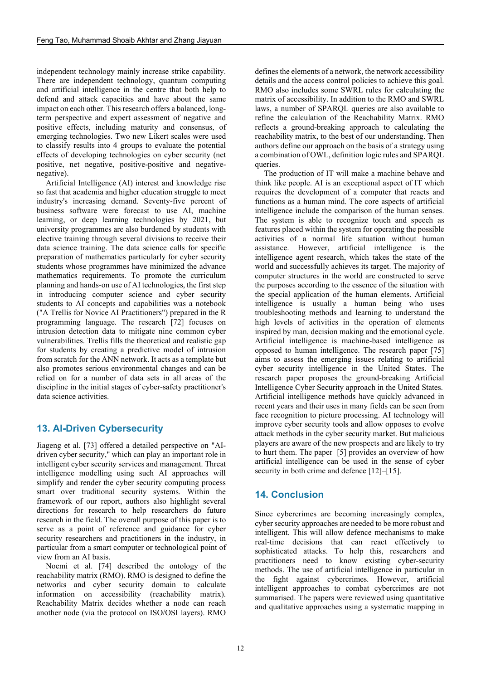independent technology mainly increase strike capability. There are independent technology, quantum computing and artificial intelligence in the centre that both help to defend and attack capacities and have about the same impact on each other. This research offers a balanced, longterm perspective and expert assessment of negative and positive effects, including maturity and consensus, of emerging technologies. Two new Likert scales were used to classify results into 4 groups to evaluate the potential effects of developing technologies on cyber security (net positive, net negative, positive-positive and negativenegative).

Artificial Intelligence (AI) interest and knowledge rise so fast that academia and higher education struggle to meet industry's increasing demand. Seventy-five percent of business software were forecast to use AI, machine learning, or deep learning technologies by 2021, but university programmes are also burdened by students with elective training through several divisions to receive their data science training. The data science calls for specific preparation of mathematics particularly for cyber security students whose programmes have minimized the advance mathematics requirements. To promote the curriculum planning and hands-on use of AI technologies, the first step in introducing computer science and cyber security students to AI concepts and capabilities was a notebook ("A Trellis for Novice AI Practitioners") prepared in the R programming language. The research [72] focuses on intrusion detection data to mitigate nine common cyber vulnerabilities. Trellis fills the theoretical and realistic gap for students by creating a predictive model of intrusion from scratch for the ANN network. It acts as a template but also promotes serious environmental changes and can be relied on for a number of data sets in all areas of the discipline in the initial stages of cyber-safety practitioner's data science activities.

# **13. AI-Driven Cybersecurity**

Jiageng et al. [73] offered a detailed perspective on "AIdriven cyber security," which can play an important role in intelligent cyber security services and management. Threat intelligence modelling using such AI approaches will simplify and render the cyber security computing process smart over traditional security systems. Within the framework of our report, authors also highlight several directions for research to help researchers do future research in the field. The overall purpose of this paper is to serve as a point of reference and guidance for cyber security researchers and practitioners in the industry, in particular from a smart computer or technological point of view from an AI basis.

Noemi et al. [74] described the ontology of the reachability matrix (RMO). RMO is designed to define the networks and cyber security domain to calculate information on accessibility (reachability matrix). Reachability Matrix decides whether a node can reach another node (via the protocol on ISO/OSI layers). RMO

defines the elements of a network, the network accessibility details and the access control policies to achieve this goal. RMO also includes some SWRL rules for calculating the matrix of accessibility. In addition to the RMO and SWRL laws, a number of SPARQL queries are also available to refine the calculation of the Reachability Matrix. RMO reflects a ground-breaking approach to calculating the reachability matrix, to the best of our understanding. Then authors define our approach on the basis of a strategy using a combination of OWL, definition logic rules and SPARQL queries.

The production of IT will make a machine behave and think like people. AI is an exceptional aspect of IT which requires the development of a computer that reacts and functions as a human mind. The core aspects of artificial intelligence include the comparison of the human senses. The system is able to recognize touch and speech as features placed within the system for operating the possible activities of a normal life situation without human assistance. However, artificial intelligence is the intelligence agent research, which takes the state of the world and successfully achieves its target. The majority of computer structures in the world are constructed to serve the purposes according to the essence of the situation with the special application of the human elements. Artificial intelligence is usually a human being who uses troubleshooting methods and learning to understand the high levels of activities in the operation of elements inspired by man, decision making and the emotional cycle. Artificial intelligence is machine-based intelligence as opposed to human intelligence. The research paper [75] aims to assess the emerging issues relating to artificial cyber security intelligence in the United States. The research paper proposes the ground-breaking Artificial Intelligence Cyber Security approach in the United States. Artificial intelligence methods have quickly advanced in recent years and their uses in many fields can be seen from face recognition to picture processing. AI technology will improve cyber security tools and allow opposes to evolve attack methods in the cyber security market. But malicious players are aware of the new prospects and are likely to try to hurt them. The paper [5] provides an overview of how artificial intelligence can be used in the sense of cyber security in both crime and defence [12]–[15].

# **14. Conclusion**

Since cybercrimes are becoming increasingly complex, cyber security approaches are needed to be more robust and intelligent. This will allow defence mechanisms to make real-time decisions that can react effectively to sophisticated attacks. To help this, researchers and practitioners need to know existing cyber-security methods. The use of artificial intelligence in particular in the fight against cybercrimes. However, artificial intelligent approaches to combat cybercrimes are not summarised. The papers were reviewed using quantitative and qualitative approaches using a systematic mapping in

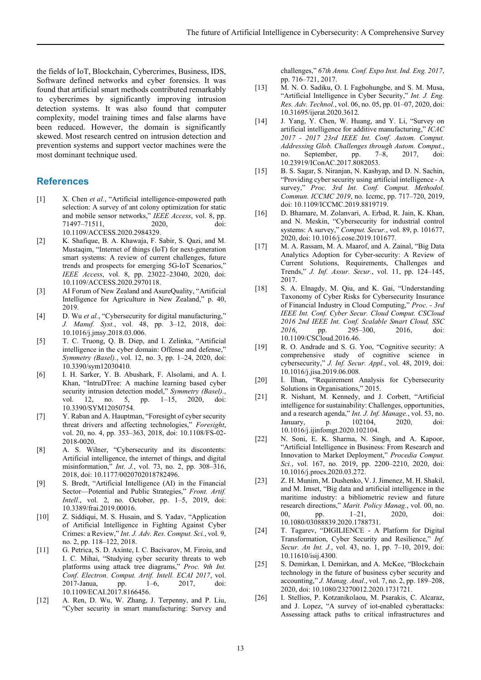the fields of IoT, Blockchain, Cybercrimes, Business, IDS, Software defined networks and cyber forensics. It was found that artificial smart methods contributed remarkably to cybercrimes by significantly improving intrusion detection systems. It was also found that computer complexity, model training times and false alarms have been reduced. However, the domain is significantly skewed. Most research centred on intrusion detection and prevention systems and support vector machines were the most dominant technique used.

#### **References**

- [1] X. Chen et al., "Artificial intelligence-empowered path selection: A survey of ant colony optimization for static and mobile sensor networks," *IEEE Access*, vol. 8, pp. 71497–71511, 2020, doi: 10.1109/ACCESS.2020.2984329.
- [2] K. Shafique, B. A. Khawaja, F. Sabir, S. Qazi, and M. Mustaqim, "Internet of things (IoT) for next-generation smart systems: A review of current challenges, future trends and prospects for emerging 5G-IoT Scenarios," *IEEE Access*, vol. 8, pp. 23022–23040, 2020, doi: 10.1109/ACCESS.2020.2970118.
- [3] AI Forum of New Zealand and AsureQuality, "Artificial Intelligence for Agriculture in New Zealand," p. 40, 2019.
- [4] D. Wu *et al.*, "Cybersecurity for digital manufacturing," *J. Manuf. Syst.*, vol. 48, pp. 3–12, 2018, doi: 10.1016/j.jmsy.2018.03.006.
- [5] T. C. Truong, Q. B. Diep, and I. Zelinka, "Artificial intelligence in the cyber domain: Offense and defense," *Symmetry (Basel).*, vol. 12, no. 3, pp. 1–24, 2020, doi: 10.3390/sym12030410.
- [6] I. H. Sarker, Y. B. Abushark, F. Alsolami, and A. I. Khan, "IntruDTree: A machine learning based cyber security intrusion detection model," *Symmetry (Basel).*, vol. 12, no. 5, pp. 1-15, 2020, doi: 10.3390/SYM12050754.
- [7] Y. Raban and A. Hauptman, "Foresight of cyber security threat drivers and affecting technologies," *Foresight*, vol. 20, no. 4, pp. 353–363, 2018, doi: 10.1108/FS-02- 2018-0020.
- [8] A. S. Wilner, "Cybersecurity and its discontents: Artificial intelligence, the internet of things, and digital misinformation," *Int. J.*, vol. 73, no. 2, pp. 308–316, 2018, doi: 10.1177/0020702018782496.
- [9] S. Bredt, "Artificial Intelligence (AI) in the Financial Sector—Potential and Public Strategies," *Front. Artif. Intell.*, vol. 2, no. October, pp. 1–5, 2019, doi: 10.3389/frai.2019.00016.
- [10] Z. Siddiqui, M. S. Husain, and S. Yadav, "Application of Artificial Intelligence in Fighting Against Cyber Crimes: a Review," *Int. J. Adv. Res. Comput. Sci.*, vol. 9, no. 2, pp. 118–122, 2018.
- [11] G. Petrica, S. D. Axinte, I. C. Bacivarov, M. Firoiu, and I. C. Mihai, "Studying cyber security threats to web platforms using attack tree diagrams," *Proc. 9th Int. Conf. Electron. Comput. Artif. Intell. ECAI 2017*, vol. 2017-Janua, pp. 1–6, 2017, doi: 10.1109/ECAI.2017.8166456.
- [12] A. Ren, D. Wu, W. Zhang, J. Terpenny, and P. Liu, "Cyber security in smart manufacturing: Survey and

challenges," *67th Annu. Conf. Expo Inst. Ind. Eng. 2017*, pp. 716–721, 2017.

- [13] M. N. O. Sadiku, O. I. Fagbohungbe, and S. M. Musa, "Artificial Intelligence in Cyber Security," *Int. J. Eng. Res. Adv. Technol.*, vol. 06, no. 05, pp. 01–07, 2020, doi: 10.31695/ijerat.2020.3612.
- [14] J. Yang, Y. Chen, W. Huang, and Y. Li, "Survey on artificial intelligence for additive manufacturing," *ICAC 2017 - 2017 23rd IEEE Int. Conf. Autom. Comput. Addressing Glob. Challenges through Autom. Comput.*, no. September, pp. 7–8, 2017, doi: 10.23919/IConAC.2017.8082053.
- [15] B. S. Sagar, S. Niranjan, N. Kashyap, and D. N. Sachin, "Providing cyber security using artificial intelligence - A survey," *Proc. 3rd Int. Conf. Comput. Methodol. Commun. ICCMC 2019*, no. Iccmc, pp. 717–720, 2019, doi: 10.1109/ICCMC.2019.8819719.
- [16] D. Bhamare, M. Zolanvari, A. Erbad, R. Jain, K. Khan, and N. Meskin, "Cybersecurity for industrial control systems: A survey," *Comput. Secur.*, vol. 89, p. 101677, 2020, doi: 10.1016/j.cose.2019.101677.
- [17] M. A. Rassam, M. A. Maarof, and A. Zainal, "Big Data Analytics Adoption for Cyber-security: A Review of Current Solutions, Requirements, Challenges and Trends," *J. Inf. Assur. Secur.*, vol. 11, pp. 124–145, 2017.
- [18] S. A. Elnagdy, M. Qiu, and K. Gai, "Understanding Taxonomy of Cyber Risks for Cybersecurity Insurance of Financial Industry in Cloud Computing," *Proc. - 3rd IEEE Int. Conf. Cyber Secur. Cloud Comput. CSCloud 2016 2nd IEEE Int. Conf. Scalable Smart Cloud, SSC 2016*, pp. 295–300, 2016, doi: 10.1109/CSCloud.2016.46.
- [19] R. O. Andrade and S. G. Yoo, "Cognitive security: A comprehensive study of cognitive science in cybersecurity," *J. Inf. Secur. Appl.*, vol. 48, 2019, doi: 10.1016/j.jisa.2019.06.008.
- [20] İ. İlhan, "Requirement Analysis for Cybersecurity Solutions in Organisations," 2015.
- [21] R. Nishant, M. Kennedy, and J. Corbett, "Artificial intelligence for sustainability: Challenges, opportunities, and a research agenda," *Int. J. Inf. Manage.*, vol. 53, no. January, p. 102104, 2020, doi: 10.1016/j.ijinfomgt.2020.102104.
- [22] N. Soni, E. K. Sharma, N. Singh, and A. Kapoor, "Artificial Intelligence in Business: From Research and Innovation to Market Deployment," *Procedia Comput. Sci.*, vol. 167, no. 2019, pp. 2200–2210, 2020, doi: 10.1016/j.procs.2020.03.272.
- [23] Z. H. Munim, M. Dushenko, V. J. Jimenez, M. H. Shakil, and M. Imset, "Big data and artificial intelligence in the maritime industry: a bibliometric review and future research directions," *Marit. Policy Manag.*, vol. 00, no. 00, pp. 1–21, 2020, doi: 10.1080/03088839.2020.1788731.
- [24] T. Tagarev, "DIGILIENCE A Platform for Digital Transformation, Cyber Security and Resilience," *Inf. Secur. An Int. J.*, vol. 43, no. 1, pp. 7–10, 2019, doi: 10.11610/isij.4300.
- [25] S. Demirkan, I. Demirkan, and A. McKee, "Blockchain technology in the future of business cyber security and accounting," *J. Manag. Anal.*, vol. 7, no. 2, pp. 189–208, 2020, doi: 10.1080/23270012.2020.1731721.
- [26] I. Stellios, P. Kotzanikolaou, M. Psarakis, C. Alcaraz, and J. Lopez, "A survey of iot-enabled cyberattacks: Assessing attack paths to critical infrastructures and

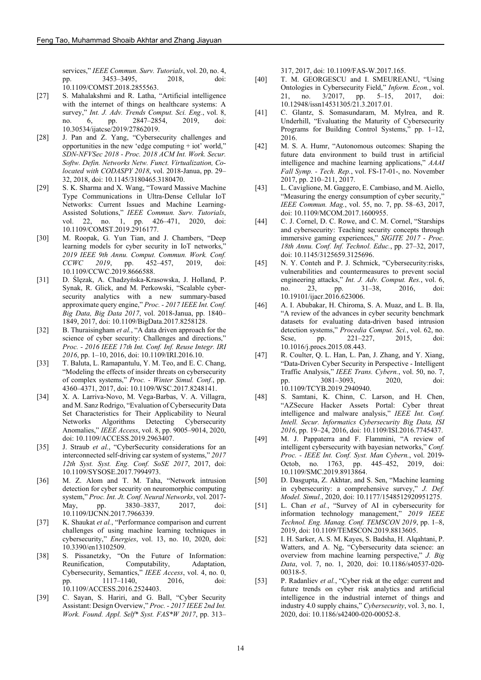services," *IEEE Commun. Surv. Tutorials*, vol. 20, no. 4, pp. 3453–3495, 2018, doi: 10.1109/COMST.2018.2855563.

- [27] S. Mahalakshmi and R. Latha, "Artificial intelligence with the internet of things on healthcare systems: A survey," *Int. J. Adv. Trends Comput. Sci. Eng.*, vol. 8, no. 6, pp. 2847–2854, 2019, doi: 10.30534/ijatcse/2019/27862019.
- [28] J. Pan and Z. Yang, "Cybersecurity challenges and opportunities in the new 'edge computing + iot' world," *SDN-NFVSec 2018 - Proc. 2018 ACM Int. Work. Secur. Softw. Defin. Networks Netw. Funct. Virtualization, Colocated with CODASPY 2018*, vol. 2018-Janua, pp. 29– 32, 2018, doi: 10.1145/3180465.3180470.
- [29] S. K. Sharma and X. Wang, "Toward Massive Machine" Type Communications in Ultra-Dense Cellular IoT Networks: Current Issues and Machine Learning-Assisted Solutions," *IEEE Commun. Surv. Tutorials*, vol. 22, no. 1, pp. 426–471, 2020, doi: 10.1109/COMST.2019.2916177.
- [30] M. Roopak, G. Yun Tian, and J. Chambers, "Deep learning models for cyber security in IoT networks," *2019 IEEE 9th Annu. Comput. Commun. Work. Conf. CCWC 2019*, pp. 452–457, 2019, doi: 10.1109/CCWC.2019.8666588.
- [31] D. Ślęzak, A. Chadzyńska-Krasowska, J. Holland, P. Synak, R. Glick, and M. Perkowski, "Scalable cybersecurity analytics with a new summary-based approximate query engine," *Proc. - 2017 IEEE Int. Conf. Big Data, Big Data 2017*, vol. 2018-Janua, pp. 1840– 1849, 2017, doi: 10.1109/BigData.2017.8258128.
- [32] B. Thuraisingham *et al.*, "A data driven approach for the science of cyber security: Challenges and directions," *Proc. - 2016 IEEE 17th Int. Conf. Inf. Reuse Integr. IRI 2016*, pp. 1–10, 2016, doi: 10.1109/IRI.2016.10.
- [33] T. Baluta, L. Ramapantulu, Y. M. Teo, and E. C. Chang, "Modeling the effects of insider threats on cybersecurity of complex systems," *Proc. - Winter Simul. Conf.*, pp. 4360–4371, 2017, doi: 10.1109/WSC.2017.8248141.
- [34] X. A. Larriva-Novo, M. Vega-Barbas, V. A. Villagra, and M. Sanz Rodrigo, "Evaluation of Cybersecurity Data Set Characteristics for Their Applicability to Neural<br>Networks Algorithms Detecting Cybersecurity Networks Algorithms Detecting Cybersecurity Anomalies," *IEEE Access*, vol. 8, pp. 9005–9014, 2020, doi: 10.1109/ACCESS.2019.2963407.
- [35] J. Straub *et al.*, "CyberSecurity considerations for an interconnected self-driving car system of systems," *2017 12th Syst. Syst. Eng. Conf. SoSE 2017*, 2017, doi: 10.1109/SYSOSE.2017.7994973.
- [36] M. Z. Alom and T. M. Taha, "Network intrusion detection for cyber security on neuromorphic computing system," *Proc. Int. Jt. Conf. Neural Networks*, vol. 2017- May, pp. 3830–3837, 2017, doi: 10.1109/IJCNN.2017.7966339.
- [37] K. Shaukat *et al.*, "Performance comparison and current challenges of using machine learning techniques in cybersecurity," *Energies*, vol. 13, no. 10, 2020, doi: 10.3390/en13102509.
- [38] S. Pissanetzky, "On the Future of Information: Reunification, Computability, Adaptation, Cybersecurity, Semantics," *IEEE Access*, vol. 4, no. 0, pp. 1117–1140, 10.1109/ACCESS.2016.2524403.
- [39] C. Sayan, S. Hariri, and G. Ball, "Cyber Security Assistant: Design Overview," *Proc. - 2017 IEEE 2nd Int. Work. Found. Appl. Self\* Syst. FAS\*W 2017*, pp. 313–

317, 2017, doi: 10.1109/FAS-W.2017.165.

- [40] T. M. GEORGESCU and I. SMEUREANU, "Using Ontologies in Cybersecurity Field," *Inform. Econ.*, vol. 21, no. 3/2017, pp. 5–15, 2017, doi: 10.12948/issn14531305/21.3.2017.01.
- [41] C. Glantz, S. Somasundaram, M. Mylrea, and R. Underhill, "Evaluating the Maturity of Cybersecurity Programs for Building Control Systems," pp. 1–12, 2016.
- [42] M. S. A. Humr, "Autonomous outcomes: Shaping the future data environment to build trust in artificial intelligence and machine learning applications," *AAAI Fall Symp. - Tech. Rep.*, vol. FS-17-01-, no. November 2017, pp. 210–211, 2017.
- [43] L. Caviglione, M. Gaggero, E. Cambiaso, and M. Aiello, "Measuring the energy consumption of cyber security," *IEEE Commun. Mag.*, vol. 55, no. 7, pp. 58–63, 2017, doi: 10.1109/MCOM.2017.1600955.
- [44] C. J. Cornel, D. C. Rowe, and C. M. Cornel, "Starships and cybersecurity: Teaching security concepts through immersive gaming experiences," *SIGITE 2017 - Proc. 18th Annu. Conf. Inf. Technol. Educ.*, pp. 27–32, 2017, doi: 10.1145/3125659.3125696.
- [45] N. Y. Conteh and P. J. Schmick, "Cybersecurity:risks, vulnerabilities and countermeasures to prevent social engineering attacks," *Int. J. Adv. Comput. Res.*, vol. 6, no. 23, pp. 31–38, 2016, doi: no. 23, pp. 31–38, 2016, doi: 10.19101/ijacr.2016.623006.
- [46] A. I. Abubakar, H. Chiroma, S. A. Muaz, and L. B. Ila, "A review of the advances in cyber security benchmark datasets for evaluating data-driven based intrusion detection systems," *Procedia Comput. Sci.*, vol. 62, no. Scse, pp. 221–227, 2015, doi: 10.1016/j.procs.2015.08.443.
- [47] R. Coulter, Q. L. Han, L. Pan, J. Zhang, and Y. Xiang, "Data-Driven Cyber Security in Perspective - Intelligent Traffic Analysis," *IEEE Trans. Cybern.*, vol. 50, no. 7, pp. 3081–3093, 2020, doi: 10.1109/TCYB.2019.2940940.
- [48] S. Samtani, K. Chinn, C. Larson, and H. Chen, "AZSecure Hacker Assets Portal: Cyber threat intelligence and malware analysis," *IEEE Int. Conf. Intell. Secur. Informatics Cybersecurity Big Data, ISI 2016*, pp. 19–24, 2016, doi: 10.1109/ISI.2016.7745437.
- [49] M. J. Pappaterra and F. Flammini, "A review of intelligent cybersecurity with bayesian networks," *Conf. Proc. - IEEE Int. Conf. Syst. Man Cybern.*, vol. 2019- Octob, no. 1763, pp. 445–452, 2019, doi: 10.1109/SMC.2019.8913864.
- [50] D. Dasgupta, Z. Akhtar, and S. Sen, "Machine learning in cybersecurity: a comprehensive survey," *J. Def. Model. Simul.*, 2020, doi: 10.1177/1548512920951275.
- [51] L. Chan *et al.*, "Survey of AI in cybersecurity for information technology management," *2019 IEEE Technol. Eng. Manag. Conf. TEMSCON 2019*, pp. 1–8, 2019, doi: 10.1109/TEMSCON.2019.8813605.
- [52] I. H. Sarker, A. S. M. Kayes, S. Badsha, H. Alqahtani, P. Watters, and A. Ng, "Cybersecurity data science: an overview from machine learning perspective," *J. Big Data*, vol. 7, no. 1, 2020, doi: 10.1186/s40537-020- 00318-5.
- [53] P. Radanliev *et al.*, "Cyber risk at the edge: current and future trends on cyber risk analytics and artificial intelligence in the industrial internet of things and industry 4.0 supply chains," *Cybersecurity*, vol. 3, no. 1, 2020, doi: 10.1186/s42400-020-00052-8.